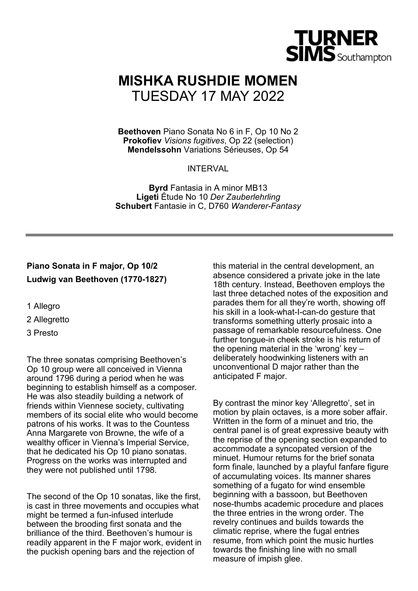

# **MISHKA RUSHDIE MOMEN** TUESDAY 17 MAY 2022

**Beethoven** Piano Sonata No 6 in F, Op 10 No 2 **Prokofiev** *Visions fugitives*, Op 22 (selection) **Mendelssohn** Variations Sérieuses, Op 54

**INTERVAL** 

**Byrd** Fantasia in A minor MB13 **Ligeti** Étude No 10 *Der Zauberlehrling* **Schubert** Fantasie in C, D760 *Wanderer-Fantasy*

# **Piano Sonata in F major, Op 10/2 Ludwig van Beethoven (1770-1827)**

- 1 Allegro
- 2 Allegretto
- 3 Presto

The three sonatas comprising Beethoven's Op 10 group were all conceived in Vienna around 1796 during a period when he was beginning to establish himself as a composer. He was also steadily building a network of friends within Viennese society, cultivating members of its social elite who would become patrons of his works. It was to the Countess Anna Margarete von Browne, the wife of a wealthy officer in Vienna's Imperial Service, that he dedicated his Op 10 piano sonatas. Progress on the works was interrupted and they were not published until 1798.

The second of the Op 10 sonatas, like the first, is cast in three movements and occupies what might be termed a fun-infused interlude between the brooding first sonata and the brilliance of the third. Beethoven's humour is readily apparent in the F major work, evident in the puckish opening bars and the rejection of

this material in the central development, an absence considered a private joke in the late 18th century. Instead, Beethoven employs the last three detached notes of the exposition and parades them for all they're worth, showing off his skill in a look-what-I-can-do gesture that transforms something utterly prosaic into a passage of remarkable resourcefulness. One further tongue-in cheek stroke is his return of the opening material in the 'wrong' key – deliberately hoodwinking listeners with an unconventional D major rather than the anticipated F major.

By contrast the minor key 'Allegretto', set in motion by plain octaves, is a more sober affair. Written in the form of a minuet and trio, the central panel is of great expressive beauty with the reprise of the opening section expanded to accommodate a syncopated version of the minuet. Humour returns for the brief sonata form finale, launched by a playful fanfare figure of accumulating voices. Its manner shares something of a fugato for wind ensemble beginning with a bassoon, but Beethoven nose-thumbs academic procedure and places the three entries in the wrong order. The revelry continues and builds towards the climatic reprise, where the fugal entries resume, from which point the music hurtles towards the finishing line with no small measure of impish glee.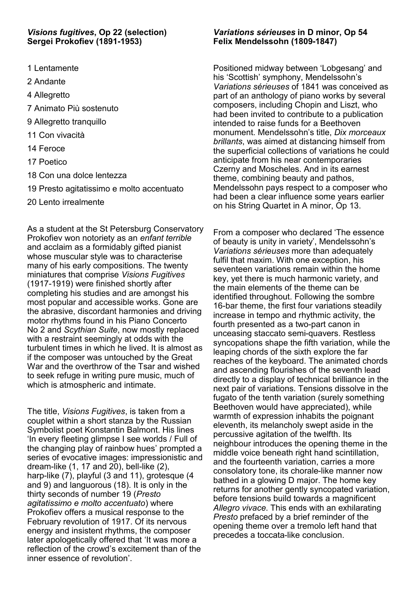## *Visions fugitives***, Op 22 (selection) Sergei Prokofiev (1891-1953)**

- 1 Lentamente
- 2 Andante
- 4 Allegretto
- 7 Animato Più sostenuto
- 9 Allegretto tranquillo
- 11 Con vivacità
- 14 Feroce
- 17 Poetico
- 18 Con una dolce lentezza
- 19 Presto agitatissimo e molto accentuato
- 20 Lento irrealmente

As a student at the St Petersburg Conservatory Prokofiev won notoriety as an *enfant terrible*  and acclaim as a formidably gifted pianist whose muscular style was to characterise many of his early compositions. The twenty miniatures that comprise *Visions Fugitives*  (1917-1919) were finished shortly after completing his studies and are amongst his most popular and accessible works. Gone are the abrasive, discordant harmonies and driving motor rhythms found in his Piano Concerto No 2 and *Scythian Suite*, now mostly replaced with a restraint seemingly at odds with the turbulent times in which he lived. It is almost as if the composer was untouched by the Great War and the overthrow of the Tsar and wished to seek refuge in writing pure music, much of which is atmospheric and intimate.

The title, *Visions Fugitives*, is taken from a couplet within a short stanza by the Russian Symbolist poet Konstantin Balmont. His lines 'In every fleeting glimpse I see worlds / Full of the changing play of rainbow hues' prompted a series of evocative images: impressionistic and dream-like (1, 17 and 20), bell-like (2), harp-like (7), playful (3 and 11), grotesque (4 and 9) and languorous (18). It is only in the thirty seconds of number 19 (*Presto agitatissimo e molto accentuato*) where Prokofiev offers a musical response to the February revolution of 1917. Of its nervous energy and insistent rhythms, the composer later apologetically offered that 'It was more a reflection of the crowd's excitement than of the inner essence of revolution'.

# *Variations sérieuses* **in D minor, Op 54 Felix Mendelssohn (1809-1847)**

Positioned midway between 'Lobgesang' and his 'Scottish' symphony, Mendelssohn's *Variations sérieuses* of 1841 was conceived as part of an anthology of piano works by several composers, including Chopin and Liszt, who had been invited to contribute to a publication intended to raise funds for a Beethoven monument. Mendelssohn's title, *Dix morceaux brillants*, was aimed at distancing himself from the superficial collections of variations he could anticipate from his near contemporaries Czerny and Moscheles. And in its earnest theme, combining beauty and pathos, Mendelssohn pays respect to a composer who had been a clear influence some years earlier on his String Quartet in A minor, Op 13.

From a composer who declared 'The essence of beauty is unity in variety', Mendelssohn's *Variations sérieuses* more than adequately fulfil that maxim. With one exception, his seventeen variations remain within the home key, yet there is much harmonic variety, and the main elements of the theme can be identified throughout. Following the sombre 16-bar theme, the first four variations steadily increase in tempo and rhythmic activity, the fourth presented as a two-part canon in unceasing staccato semi-quavers. Restless syncopations shape the fifth variation, while the leaping chords of the sixth explore the far reaches of the keyboard. The animated chords and ascending flourishes of the seventh lead directly to a display of technical brilliance in the next pair of variations. Tensions dissolve in the fugato of the tenth variation (surely something Beethoven would have appreciated), while warmth of expression inhabits the poignant eleventh, its melancholy swept aside in the percussive agitation of the twelfth. Its neighbour introduces the opening theme in the middle voice beneath right hand scintillation, and the fourteenth variation, carries a more consolatory tone, its chorale-like manner now bathed in a glowing D major. The home key returns for another gently syncopated variation, before tensions build towards a magnificent *Allegro vivace*. This ends with an exhilarating *Presto* prefaced by a brief reminder of the opening theme over a tremolo left hand that precedes a toccata-like conclusion.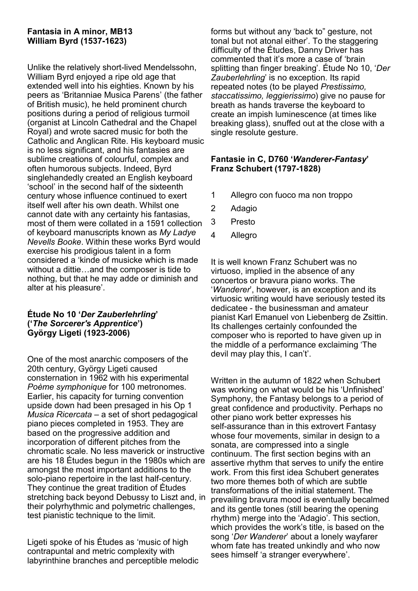# **Fantasia in A minor, MB13 William Byrd (1537-1623)**

Unlike the relatively short-lived Mendelssohn, William Byrd enjoyed a ripe old age that extended well into his eighties. Known by his peers as 'Britanniae Musica Parens' (the father of British music), he held prominent church positions during a period of religious turmoil (organist at Lincoln Cathedral and the Chapel Royal) and wrote sacred music for both the Catholic and Anglican Rite. His keyboard music is no less significant, and his fantasies are sublime creations of colourful, complex and often humorous subjects. Indeed, Byrd singlehandedly created an English keyboard 'school' in the second half of the sixteenth century whose influence continued to exert itself well after his own death. Whilst one cannot date with any certainty his fantasias, most of them were collated in a 1591 collection of keyboard manuscripts known as *My Ladye Nevells Booke*. Within these works Byrd would exercise his prodigious talent in a form considered a 'kinde of musicke which is made without a dittie…and the composer is tide to nothing, but that he may adde or diminish and alter at his pleasure'.

## **Étude No 10 '***Der Zauberlehrling***' ('***The Sorcerer's Apprentice***') György Ligeti (1923-2006)**

One of the most anarchic composers of the 20th century, György Ligeti caused consternation in 1962 with his experimental *Poème symphonique* for 100 metronomes. Earlier, his capacity for turning convention upside down had been presaged in his Op 1 *Musica Ricercata* – a set of short pedagogical piano pieces completed in 1953. They are based on the progressive addition and incorporation of different pitches from the chromatic scale. No less maverick or instructive are his 18 Études begun in the 1980s which are amongst the most important additions to the solo-piano repertoire in the last half-century. They continue the great tradition of Études stretching back beyond Debussy to Liszt and, in their polyrhythmic and polymetric challenges, test pianistic technique to the limit.

Ligeti spoke of his Études as 'music of high contrapuntal and metric complexity with labyrinthine branches and perceptible melodic forms but without any 'back to" gesture, not tonal but not atonal either'. To the staggering difficulty of the Études, Danny Driver has commented that it's more a case of 'brain splitting than finger breaking'. Étude No 10, '*Der Zauberlehrling*' is no exception. Its rapid repeated notes (to be played *Prestissimo, staccatissimo, leggierissimo*) give no pause for breath as hands traverse the keyboard to create an impish luminescence (at times like breaking glass), snuffed out at the close with a single resolute gesture.

## **Fantasie in C, D760 '***Wanderer-Fantasy***' Franz Schubert (1797-1828)**

- 1 Allegro con fuoco ma non troppo
- 2 Adagio
- 3 Presto
- 4 Allegro

It is well known Franz Schubert was no virtuoso, implied in the absence of any concertos or bravura piano works. The '*Wanderer*', however, is an exception and its virtuosic writing would have seriously tested its dedicatee - the businessman and amateur pianist Karl Emanuel von Liebenberg de Zsittin. Its challenges certainly confounded the composer who is reported to have given up in the middle of a performance exclaiming 'The devil may play this, I can't'.

Written in the autumn of 1822 when Schubert was working on what would be his 'Unfinished' Symphony, the Fantasy belongs to a period of great confidence and productivity. Perhaps no other piano work better expresses his self-assurance than in this extrovert Fantasy whose four movements, similar in design to a sonata, are compressed into a single continuum. The first section begins with an assertive rhythm that serves to unify the entire work. From this first idea Schubert generates two more themes both of which are subtle transformations of the initial statement. The prevailing bravura mood is eventually becalmed and its gentle tones (still bearing the opening rhythm) merge into the 'Adagio'. This section, which provides the work's title, is based on the song '*Der Wanderer*' about a lonely wayfarer whom fate has treated unkindly and who now sees himself 'a stranger everywhere'.